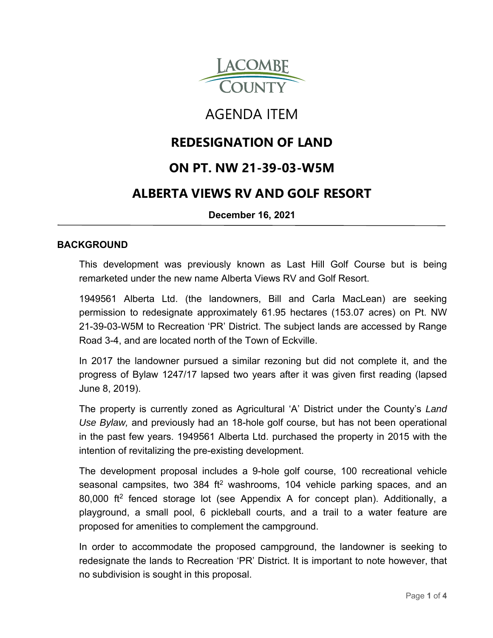

# AGENDA ITEM

# **REDESIGNATION OF LAND**

# **ON PT. NW 21-39-03-W5M**

# **ALBERTA VIEWS RV AND GOLF RESORT**

**December 16, 2021**

### **BACKGROUND**

This development was previously known as Last Hill Golf Course but is being remarketed under the new name Alberta Views RV and Golf Resort.

1949561 Alberta Ltd. (the landowners, Bill and Carla MacLean) are seeking permission to redesignate approximately 61.95 hectares (153.07 acres) on Pt. NW 21-39-03-W5M to Recreation 'PR' District. The subject lands are accessed by Range Road 3-4, and are located north of the Town of Eckville.

In 2017 the landowner pursued a similar rezoning but did not complete it, and the progress of Bylaw 1247/17 lapsed two years after it was given first reading (lapsed June 8, 2019).

The property is currently zoned as Agricultural 'A' District under the County's *Land Use Bylaw,* and previously had an 18-hole golf course, but has not been operational in the past few years. 1949561 Alberta Ltd. purchased the property in 2015 with the intention of revitalizing the pre-existing development.

The development proposal includes a 9-hole golf course, 100 recreational vehicle seasonal campsites, two 384 ft<sup>2</sup> washrooms, 104 vehicle parking spaces, and an 80,000 ft2 fenced storage lot (see Appendix A for concept plan). Additionally, a playground, a small pool, 6 pickleball courts, and a trail to a water feature are proposed for amenities to complement the campground.

In order to accommodate the proposed campground, the landowner is seeking to redesignate the lands to Recreation 'PR' District. It is important to note however, that no subdivision is sought in this proposal.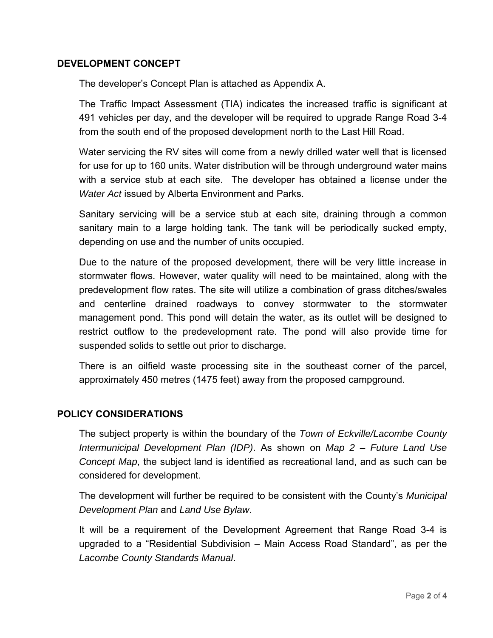### **DEVELOPMENT CONCEPT**

The developer's Concept Plan is attached as Appendix A.

The Traffic Impact Assessment (TIA) indicates the increased traffic is significant at 491 vehicles per day, and the developer will be required to upgrade Range Road 3-4 from the south end of the proposed development north to the Last Hill Road.

Water servicing the RV sites will come from a newly drilled water well that is licensed for use for up to 160 units. Water distribution will be through underground water mains with a service stub at each site. The developer has obtained a license under the *Water Act* issued by Alberta Environment and Parks.

Sanitary servicing will be a service stub at each site, draining through a common sanitary main to a large holding tank. The tank will be periodically sucked empty, depending on use and the number of units occupied.

Due to the nature of the proposed development, there will be very little increase in stormwater flows. However, water quality will need to be maintained, along with the predevelopment flow rates. The site will utilize a combination of grass ditches/swales and centerline drained roadways to convey stormwater to the stormwater management pond. This pond will detain the water, as its outlet will be designed to restrict outflow to the predevelopment rate. The pond will also provide time for suspended solids to settle out prior to discharge.

There is an oilfield waste processing site in the southeast corner of the parcel, approximately 450 metres (1475 feet) away from the proposed campground.

# **POLICY CONSIDERATIONS**

The subject property is within the boundary of the *Town of Eckville/Lacombe County Intermunicipal Development Plan (IDP)*. As shown on *Map 2 – Future Land Use Concept Map*, the subject land is identified as recreational land, and as such can be considered for development.

The development will further be required to be consistent with the County's *Municipal Development Plan* and *Land Use Bylaw*.

It will be a requirement of the Development Agreement that Range Road 3-4 is upgraded to a "Residential Subdivision – Main Access Road Standard", as per the *Lacombe County Standards Manual*.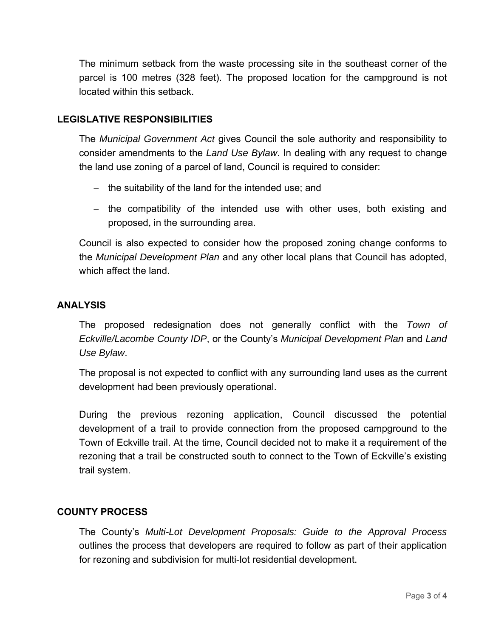The minimum setback from the waste processing site in the southeast corner of the parcel is 100 metres (328 feet). The proposed location for the campground is not located within this setback.

## **LEGISLATIVE RESPONSIBILITIES**

The *Municipal Government Act* gives Council the sole authority and responsibility to consider amendments to the *Land Use Bylaw*. In dealing with any request to change the land use zoning of a parcel of land, Council is required to consider:

- $-$  the suitability of the land for the intended use; and
- $-$  the compatibility of the intended use with other uses, both existing and proposed, in the surrounding area.

Council is also expected to consider how the proposed zoning change conforms to the *Municipal Development Plan* and any other local plans that Council has adopted, which affect the land.

#### **ANALYSIS**

The proposed redesignation does not generally conflict with the *Town of Eckville/Lacombe County IDP*, or the County's *Municipal Development Plan* and *Land Use Bylaw*.

The proposal is not expected to conflict with any surrounding land uses as the current development had been previously operational.

During the previous rezoning application, Council discussed the potential development of a trail to provide connection from the proposed campground to the Town of Eckville trail. At the time, Council decided not to make it a requirement of the rezoning that a trail be constructed south to connect to the Town of Eckville's existing trail system.

### **COUNTY PROCESS**

The County's *Multi-Lot Development Proposals: Guide to the Approval Process* outlines the process that developers are required to follow as part of their application for rezoning and subdivision for multi-lot residential development.